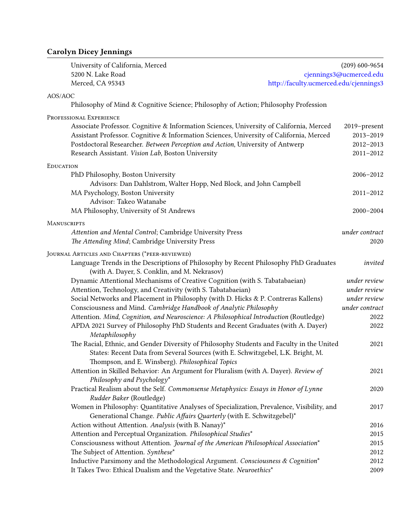## Carolyn Dicey Jennings

|         | University of California, Merced                                                          | $(209)$ 600-9654        |
|---------|-------------------------------------------------------------------------------------------|-------------------------|
|         | 5200 N. Lake Road                                                                         | cjennings3@ucmerced.edu |
|         | Merced, CA 95343<br>http://faculty.ucmerced.edu/cjennings3                                |                         |
| AOS/AOC |                                                                                           |                         |
|         | Philosophy of Mind & Cognitive Science; Philosophy of Action; Philosophy Profession       |                         |
|         | PROFESSIONAL EXPERIENCE                                                                   |                         |
|         | Associate Professor. Cognitive & Information Sciences, University of California, Merced   | 2019-present            |
|         | Assistant Professor. Cognitive & Information Sciences, University of California, Merced   | 2013-2019               |
|         | Postdoctoral Researcher. Between Perception and Action, University of Antwerp             | 2012-2013               |
|         | Research Assistant. Vision Lab, Boston University                                         | $2011 - 2012$           |
|         | EDUCATION                                                                                 |                         |
|         | PhD Philosophy, Boston University                                                         | 2006-2012               |
|         | Advisors: Dan Dahlstrom, Walter Hopp, Ned Block, and John Campbell                        |                         |
|         | MA Psychology, Boston University                                                          | $2011 - 2012$           |
|         | Advisor: Takeo Watanabe                                                                   |                         |
|         | MA Philosophy, University of St Andrews                                                   | 2000-2004               |
|         | MANUSCRIPTS                                                                               |                         |
|         | Attention and Mental Control; Cambridge University Press                                  | under contract          |
|         | The Attending Mind; Cambridge University Press                                            | 2020                    |
|         | JOURNAL ARTICLES AND CHAPTERS (*PEER-REVIEWED)                                            |                         |
|         | Language Trends in the Descriptions of Philosophy by Recent Philosophy PhD Graduates      | invited                 |
|         | (with A. Dayer, S. Conklin, and M. Nekrasov)                                              |                         |
|         | Dynamic Attentional Mechanisms of Creative Cognition (with S. Tabatabaeian)               | under review            |
|         | Attention, Technology, and Creativity (with S. Tabatabaeian)                              | under review            |
|         | Social Networks and Placement in Philosophy (with D. Hicks & P. Contreras Kallens)        | under review            |
|         | Consciousness and Mind. Cambridge Handbook of Analytic Philosophy                         | under contract          |
|         | Attention. Mind, Cognition, and Neuroscience: A Philosophical Introduction (Routledge)    | 2022                    |
|         | APDA 2021 Survey of Philosophy PhD Students and Recent Graduates (with A. Dayer)          | 2022                    |
|         | Metaphilosophy                                                                            |                         |
|         | The Racial, Ethnic, and Gender Diversity of Philosophy Students and Faculty in the United | 2021                    |
|         | States: Recent Data from Several Sources (with E. Schwitzgebel, L.K. Bright, M.           |                         |
|         | Thompson, and E. Winsberg). Philosophical Topics                                          |                         |
|         | Attention in Skilled Behavior: An Argument for Pluralism (with A. Dayer). Review of       | 2021                    |
|         | Philosophy and Psychology*                                                                |                         |
|         | Practical Realism about the Self. Commonsense Metaphysics: Essays in Honor of Lynne       | 2020                    |
|         | Rudder Baker (Routledge)                                                                  |                         |
|         | Women in Philosophy: Quantitative Analyses of Specialization, Prevalence, Visibility, and | 2017                    |
|         | Generational Change. Public Affairs Quarterly (with E. Schwitzgebel)*                     |                         |
|         | Action without Attention. Analysis (with B. Nanay)*                                       | 2016                    |
|         | Attention and Perceptual Organization. Philosophical Studies*                             | 2015                    |
|         | Consciousness without Attention. Journal of the American Philosophical Association*       | 2015                    |
|         | The Subject of Attention. Synthese*                                                       | 2012                    |
|         | Inductive Parsimony and the Methodological Argument. Consciousness & Cognition*           | 2012                    |
|         | It Takes Two: Ethical Dualism and the Vegetative State. Neuroethics*                      | 2009                    |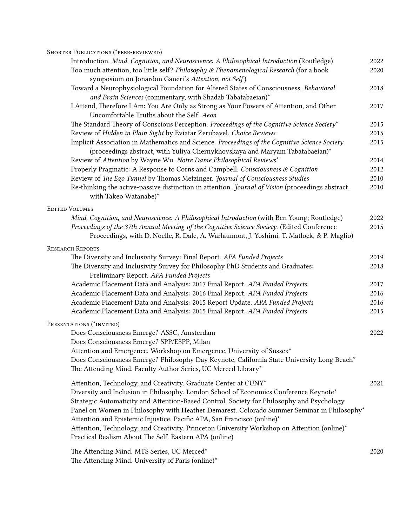| SHORTER PUBLICATIONS (*PEER-REVIEWED)                                                                                                                                         |      |
|-------------------------------------------------------------------------------------------------------------------------------------------------------------------------------|------|
| Introduction. Mind, Cognition, and Neuroscience: A Philosophical Introduction (Routledge)                                                                                     | 2022 |
| Too much attention, too little self? Philosophy & Phenomenological Research (for a book                                                                                       | 2020 |
| symposium on Jonardon Ganeri's Attention, not Self)                                                                                                                           |      |
| Toward a Neurophysiological Foundation for Altered States of Consciousness. Behavioral<br>and Brain Sciences (commentary, with Shadab Tabatabaeian)*                          | 2018 |
| I Attend, Therefore I Am: You Are Only as Strong as Your Powers of Attention, and Other<br>Uncomfortable Truths about the Self. Aeon                                          | 2017 |
| The Standard Theory of Conscious Perception. Proceedings of the Cognitive Science Society*                                                                                    | 2015 |
| Review of Hidden in Plain Sight by Eviatar Zerubavel. Choice Reviews                                                                                                          | 2015 |
| Implicit Association in Mathematics and Science. Proceedings of the Cognitive Science Society<br>(proceedings abstract, with Yuliya Chernykhovskaya and Maryam Tabatabaeian)* | 2015 |
| Review of Attention by Wayne Wu. Notre Dame Philosophical Reviews*                                                                                                            | 2014 |
| Properly Pragmatic: A Response to Corns and Campbell. Consciousness & Cognition                                                                                               | 2012 |
| Review of The Ego Tunnel by Thomas Metzinger. Journal of Consciousness Studies                                                                                                | 2010 |
| Re-thinking the active-passive distinction in attention. Journal of Vision (proceedings abstract,<br>with Takeo Watanabe)*                                                    | 2010 |
| <b>EDITED VOLUMES</b>                                                                                                                                                         |      |
| Mind, Cognition, and Neuroscience: A Philosophical Introduction (with Ben Young; Routledge)                                                                                   | 2022 |
| Proceedings of the 37th Annual Meeting of the Cognitive Science Society. (Edited Conference                                                                                   | 2015 |
| Proceedings, with D. Noelle, R. Dale, A. Warlaumont, J. Yoshimi, T. Matlock, & P. Maglio)                                                                                     |      |
| <b>RESEARCH REPORTS</b>                                                                                                                                                       |      |
| The Diversity and Inclusivity Survey: Final Report. APA Funded Projects                                                                                                       | 2019 |
| The Diversity and Inclusivity Survey for Philosophy PhD Students and Graduates:<br>Preliminary Report. APA Funded Projects                                                    | 2018 |
| Academic Placement Data and Analysis: 2017 Final Report. APA Funded Projects                                                                                                  | 2017 |
| Academic Placement Data and Analysis: 2016 Final Report. APA Funded Projects                                                                                                  | 2016 |
| Academic Placement Data and Analysis: 2015 Report Update. APA Funded Projects                                                                                                 | 2016 |
| Academic Placement Data and Analysis: 2015 Final Report. APA Funded Projects                                                                                                  | 2015 |
| PRESENTATIONS (*INVITED)                                                                                                                                                      |      |
| Does Consciousness Emerge? ASSC, Amsterdam                                                                                                                                    | 2022 |
| Does Consciousness Emerge? SPP/ESPP, Milan                                                                                                                                    |      |
| Attention and Emergence. Workshop on Emergence, University of Sussex*                                                                                                         |      |
| Does Consciousness Emerge? Philosophy Day Keynote, California State University Long Beach*                                                                                    |      |
| The Attending Mind. Faculty Author Series, UC Merced Library*                                                                                                                 |      |
| Attention, Technology, and Creativity. Graduate Center at CUNY*                                                                                                               | 2021 |
| Diversity and Inclusion in Philosophy. London School of Economics Conference Keynote*                                                                                         |      |
| Strategic Automaticity and Attention-Based Control. Society for Philosophy and Psychology                                                                                     |      |
| Panel on Women in Philosophy with Heather Demarest. Colorado Summer Seminar in Philosophy*                                                                                    |      |
| Attention and Epistemic Injustice. Pacific APA, San Francisco (online)*                                                                                                       |      |
| Attention, Technology, and Creativity. Princeton University Workshop on Attention (online)*                                                                                   |      |
| Practical Realism About The Self. Eastern APA (online)                                                                                                                        |      |
| The Attending Mind. MTS Series, UC Merced*                                                                                                                                    | 2020 |
|                                                                                                                                                                               |      |

The Attending Mind. University of Paris (online)\*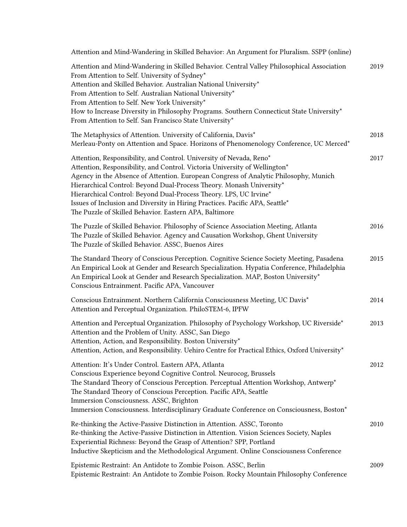| Attention and Mind-Wandering in Skilled Behavior: An Argument for Pluralism. SSPP (online)                                                                                                                                                                                                                                                                                                                                                                                                                                       |      |
|----------------------------------------------------------------------------------------------------------------------------------------------------------------------------------------------------------------------------------------------------------------------------------------------------------------------------------------------------------------------------------------------------------------------------------------------------------------------------------------------------------------------------------|------|
| Attention and Mind-Wandering in Skilled Behavior. Central Valley Philosophical Association<br>From Attention to Self. University of Sydney*<br>Attention and Skilled Behavior. Australian National University*<br>From Attention to Self. Australian National University*<br>From Attention to Self. New York University*<br>How to Increase Diversity in Philosophy Programs. Southern Connecticut State University*<br>From Attention to Self. San Francisco State University*                                                 | 2019 |
| The Metaphysics of Attention. University of California, Davis*<br>Merleau-Ponty on Attention and Space. Horizons of Phenomenology Conference, UC Merced*                                                                                                                                                                                                                                                                                                                                                                         | 2018 |
| Attention, Responsibility, and Control. University of Nevada, Reno*<br>Attention, Responsibility, and Control. Victoria University of Wellington*<br>Agency in the Absence of Attention. European Congress of Analytic Philosophy, Munich<br>Hierarchical Control: Beyond Dual-Process Theory. Monash University*<br>Hierarchical Control: Beyond Dual-Process Theory. LPS, UC Irvine*<br>Issues of Inclusion and Diversity in Hiring Practices. Pacific APA, Seattle*<br>The Puzzle of Skilled Behavior. Eastern APA, Baltimore | 2017 |
| The Puzzle of Skilled Behavior. Philosophy of Science Association Meeting, Atlanta<br>The Puzzle of Skilled Behavior. Agency and Causation Workshop, Ghent University<br>The Puzzle of Skilled Behavior. ASSC, Buenos Aires                                                                                                                                                                                                                                                                                                      | 2016 |
| The Standard Theory of Conscious Perception. Cognitive Science Society Meeting, Pasadena<br>An Empirical Look at Gender and Research Specialization. Hypatia Conference, Philadelphia<br>An Empirical Look at Gender and Research Specialization. MAP, Boston University*<br>Conscious Entrainment. Pacific APA, Vancouver                                                                                                                                                                                                       | 2015 |
| Conscious Entrainment. Northern California Consciousness Meeting, UC Davis*<br>Attention and Perceptual Organization. PhiloSTEM-6, IPFW                                                                                                                                                                                                                                                                                                                                                                                          | 2014 |
| Attention and Perceptual Organization. Philosophy of Psychology Workshop, UC Riverside*<br>Attention and the Problem of Unity. ASSC, San Diego<br>Attention, Action, and Responsibility. Boston University*<br>Attention, Action, and Responsibility. Uehiro Centre for Practical Ethics, Oxford University*                                                                                                                                                                                                                     | 2013 |
| Attention: It's Under Control. Eastern APA, Atlanta<br>Conscious Experience beyond Cognitive Control. Neurocog, Brussels<br>The Standard Theory of Conscious Perception. Perceptual Attention Workshop, Antwerp*<br>The Standard Theory of Conscious Perception. Pacific APA, Seattle<br>Immersion Consciousness. ASSC, Brighton<br>Immersion Consciousness. Interdisciplinary Graduate Conference on Consciousness, Boston*                                                                                                     | 2012 |
| Re-thinking the Active-Passive Distinction in Attention. ASSC, Toronto<br>Re-thinking the Active-Passive Distinction in Attention. Vision Sciences Society, Naples<br>Experiential Richness: Beyond the Grasp of Attention? SPP, Portland<br>Inductive Skepticism and the Methodological Argument. Online Consciousness Conference                                                                                                                                                                                               | 2010 |
| Epistemic Restraint: An Antidote to Zombie Poison. ASSC, Berlin<br>Epistemic Restraint: An Antidote to Zombie Poison. Rocky Mountain Philosophy Conference                                                                                                                                                                                                                                                                                                                                                                       | 2009 |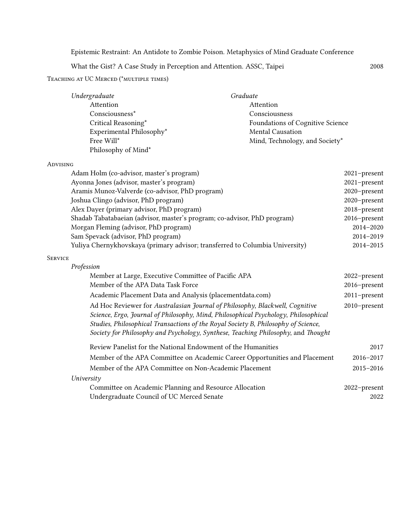Epistemic Restraint: An Antidote to Zombie Poison. Metaphysics of Mind Graduate Conference

What the Gist? A Case Study in Perception and Attention. ASSC, Taipei 2008

Teaching at UC Merced (\*multiple times)

| Undergraduate            | Graduate                                |
|--------------------------|-----------------------------------------|
| Attention                | Attention                               |
| Consciousness*           | Consciousness                           |
| Critical Reasoning*      | <b>Foundations of Cognitive Science</b> |
| Experimental Philosophy* | <b>Mental Causation</b>                 |
| Free Will*               | Mind, Technology, and Society*          |
| Philosophy of Mind*      |                                         |

## Advising

| Adam Holm (co-advisor, master's program)                                                                                                                                                                                                                                                                                                       | 2021-present  |
|------------------------------------------------------------------------------------------------------------------------------------------------------------------------------------------------------------------------------------------------------------------------------------------------------------------------------------------------|---------------|
| Ayonna Jones (advisor, master's program)                                                                                                                                                                                                                                                                                                       | 2021-present  |
| Aramis Munoz-Valverde (co-advisor, PhD program)                                                                                                                                                                                                                                                                                                | 2020-present  |
| Joshua Clingo (advisor, PhD program)                                                                                                                                                                                                                                                                                                           | 2020-present  |
| Alex Dayer (primary advisor, PhD program)                                                                                                                                                                                                                                                                                                      | 2018-present  |
| Shadab Tabatabaeian (advisor, master's program; co-advisor, PhD program)                                                                                                                                                                                                                                                                       | 2016-present  |
| Morgan Fleming (advisor, PhD program)                                                                                                                                                                                                                                                                                                          | 2014-2020     |
| Sam Spevack (advisor, PhD program)                                                                                                                                                                                                                                                                                                             | 2014-2019     |
| Yuliya Chernykhovskaya (primary advisor; transferred to Columbia University)                                                                                                                                                                                                                                                                   | 2014-2015     |
| <b>SERVICE</b>                                                                                                                                                                                                                                                                                                                                 |               |
| Profession                                                                                                                                                                                                                                                                                                                                     |               |
| Member at Large, Executive Committee of Pacific APA                                                                                                                                                                                                                                                                                            | 2022-present  |
| Member of the APA Data Task Force                                                                                                                                                                                                                                                                                                              | 2016-present  |
| Academic Placement Data and Analysis (placementdata.com)                                                                                                                                                                                                                                                                                       | 2011-present  |
| Ad Hoc Reviewer for Australasian Journal of Philosophy, Blackwell, Cognitive<br>Science, Ergo, Journal of Philosophy, Mind, Philosophical Psychology, Philosophical<br>Studies, Philosophical Transactions of the Royal Society B, Philosophy of Science,<br>Society for Philosophy and Psychology, Synthese, Teaching Philosophy, and Thought | 2010-present  |
| Review Panelist for the National Endowment of the Humanities                                                                                                                                                                                                                                                                                   | 2017          |
| Member of the APA Committee on Academic Career Opportunities and Placement                                                                                                                                                                                                                                                                     | 2016-2017     |
| Member of the APA Committee on Non-Academic Placement                                                                                                                                                                                                                                                                                          | $2015 - 2016$ |
| University                                                                                                                                                                                                                                                                                                                                     |               |
| Committee on Academic Planning and Resource Allocation                                                                                                                                                                                                                                                                                         | 2022-present  |
| Undergraduate Council of UC Merced Senate                                                                                                                                                                                                                                                                                                      | 2022          |